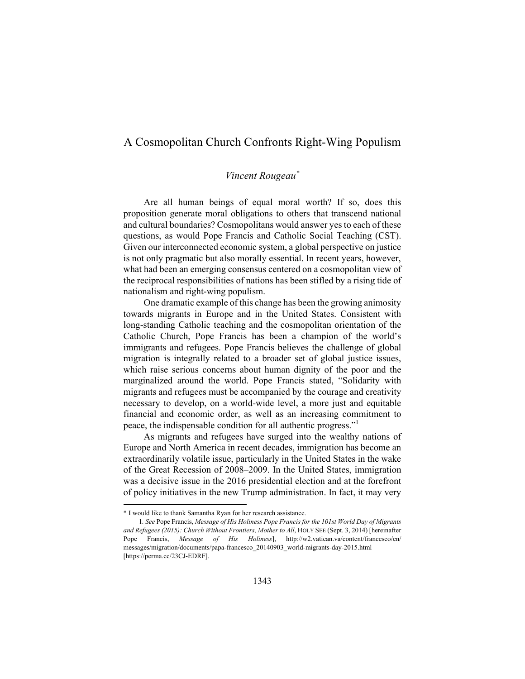## A Cosmopolitan Church Confronts Right-Wing Populism

## *Vincent Rougeau\**

Are all human beings of equal moral worth? If so, does this proposition generate moral obligations to others that transcend national and cultural boundaries? Cosmopolitans would answer yes to each of these questions, as would Pope Francis and Catholic Social Teaching (CST). Given our interconnected economic system, a global perspective on justice is not only pragmatic but also morally essential. In recent years, however, what had been an emerging consensus centered on a cosmopolitan view of the reciprocal responsibilities of nations has been stifled by a rising tide of nationalism and right-wing populism.

One dramatic example of this change has been the growing animosity towards migrants in Europe and in the United States. Consistent with long-standing Catholic teaching and the cosmopolitan orientation of the Catholic Church, Pope Francis has been a champion of the world's immigrants and refugees. Pope Francis believes the challenge of global migration is integrally related to a broader set of global justice issues, which raise serious concerns about human dignity of the poor and the marginalized around the world. Pope Francis stated, "Solidarity with migrants and refugees must be accompanied by the courage and creativity necessary to develop, on a world-wide level, a more just and equitable financial and economic order, as well as an increasing commitment to peace, the indispensable condition for all authentic progress."<sup>1</sup>

As migrants and refugees have surged into the wealthy nations of Europe and North America in recent decades, immigration has become an extraordinarily volatile issue, particularly in the United States in the wake of the Great Recession of 2008–2009. In the United States, immigration was a decisive issue in the 2016 presidential election and at the forefront of policy initiatives in the new Trump administration. In fact, it may very

-

<sup>\*</sup> I would like to thank Samantha Ryan for her research assistance.

<sup>1</sup>*. See* Pope Francis, *Message of His Holiness Pope Francis for the 101st World Day of Migrants and Refugees (2015): Church Without Frontiers, Mother to All*, HOLY SEE (Sept. 3, 2014) [hereinafter Pope Francis, *Message of His Holiness*], http://w2.vatican.va/content/francesco/en/ messages/migration/documents/papa-francesco\_20140903\_world-migrants-day-2015.html [https://perma.cc/23CJ-EDRF].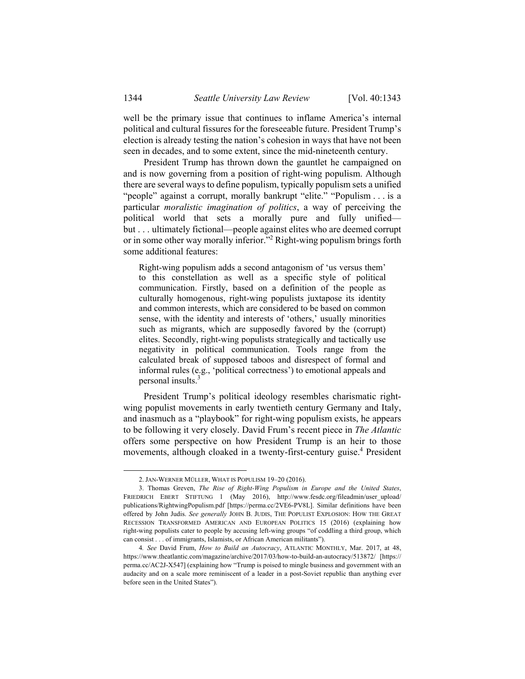well be the primary issue that continues to inflame America's internal political and cultural fissures for the foreseeable future. President Trump's election is already testing the nation's cohesion in ways that have not been seen in decades, and to some extent, since the mid-nineteenth century.

President Trump has thrown down the gauntlet he campaigned on and is now governing from a position of right-wing populism. Although there are several ways to define populism, typically populism sets a unified "people" against a corrupt, morally bankrupt "elite." "Populism . . . is a particular *moralistic imagination of politics*, a way of perceiving the political world that sets a morally pure and fully unified but . . . ultimately fictional—people against elites who are deemed corrupt or in some other way morally inferior."<sup>2</sup> Right-wing populism brings forth some additional features:

Right-wing populism adds a second antagonism of 'us versus them' to this constellation as well as a specific style of political communication. Firstly, based on a definition of the people as culturally homogenous, right-wing populists juxtapose its identity and common interests, which are considered to be based on common sense, with the identity and interests of 'others,' usually minorities such as migrants, which are supposedly favored by the (corrupt) elites. Secondly, right-wing populists strategically and tactically use negativity in political communication. Tools range from the calculated break of supposed taboos and disrespect of formal and informal rules (e.g., 'political correctness') to emotional appeals and personal insults.<sup>3</sup>

President Trump's political ideology resembles charismatic rightwing populist movements in early twentieth century Germany and Italy, and inasmuch as a "playbook" for right-wing populism exists, he appears to be following it very closely. David Frum's recent piece in *The Atlantic*  offers some perspective on how President Trump is an heir to those movements, although cloaked in a twenty-first-century guise.<sup>4</sup> President

 <sup>2.</sup> JAN-WERNER MÜLLER, WHAT IS POPULISM 19–20 (2016).

 <sup>3.</sup> Thomas Greven, *The Rise of Right-Wing Populism in Europe and the United States*, FRIEDRICH EBERT STIFTUNG 1 (May 2016), http://www.fesdc.org/fileadmin/user\_upload/ publications/RightwingPopulism.pdf [https://perma.cc/2VE6-PV8L]. Similar definitions have been offered by John Judis. *See generally* JOHN B. JUDIS, THE POPULIST EXPLOSION: HOW THE GREAT RECESSION TRANSFORMED AMERICAN AND EUROPEAN POLITICS 15 (2016) (explaining how right-wing populists cater to people by accusing left-wing groups "of coddling a third group, which can consist . . . of immigrants, Islamists, or African American militants").

<sup>4</sup>*. See* David Frum, *How to Build an Autocracy*, ATLANTIC MONTHLY, Mar. 2017, at 48, https://www.theatlantic.com/magazine/archive/2017/03/how-to-build-an-autocracy/513872/ [https:// perma.cc/AC2J-X547] (explaining how "Trump is poised to mingle business and government with an audacity and on a scale more reminiscent of a leader in a post-Soviet republic than anything ever before seen in the United States").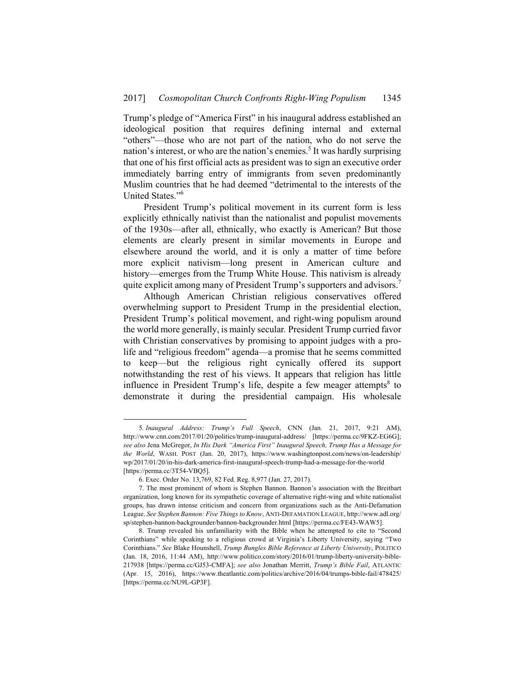Trump's pledge of "America First" in his inaugural address established an ideological position that requires defining internal and external "others"—those who are not part of the nation, who do not serve the nation's interest, or who are the nation's enemies.<sup>5</sup> It was hardly surprising that one of his first official acts as president was to sign an executive order immediately barring entry of immigrants from seven predominantly Muslim countries that he had deemed "detrimental to the interests of the United States."6

President Trump's political movement in its current form is less explicitly ethnically nativist than the nationalist and populist movements of the 1930s—after all, ethnically, who exactly is American? But those elements are clearly present in similar movements in Europe and elsewhere around the world, and it is only a matter of time before more explicit nativism—long present in American culture and history—emerges from the Trump White House. This nativism is already quite explicit among many of President Trump's supporters and advisors.<sup>7</sup>

Although American Christian religious conservatives offered overwhelming support to President Trump in the presidential election, President Trump's political movement, and right-wing populism around the world more generally, is mainly secular*.* President Trump curried favor with Christian conservatives by promising to appoint judges with a prolife and "religious freedom" agenda—a promise that he seems committed to keep—but the religious right cynically offered its support notwithstanding the rest of his views. It appears that religion has little influence in President Trump's life, despite a few meager attempts $8$  to demonstrate it during the presidential campaign. His wholesale

 <sup>5</sup>*. Inaugural Address: Trump's Full Speech*, CNN (Jan. 21, 2017, 9:21 AM), http://www.cnn.com/2017/01/20/politics/trump-inaugural-address/ [https://perma.cc/9FKZ-EG6G]; *see also* Jena McGregor, *In His Dark "America First" Inaugural Speech, Trump Has a Message for the World*, WASH. POST (Jan. 20, 2017), https://www.washingtonpost.com/news/on-leadership/ wp/2017/01/20/in-his-dark-america-first-inaugural-speech-trump-had-a-message-for-the-world [https://perma.cc/3T54-VBQ5].

 <sup>6.</sup> Exec. Order No. 13,769, 82 Fed. Reg. 8,977 (Jan. 27, 2017).

 <sup>7.</sup> The most prominent of whom is Stephen Bannon. Bannon's association with the Breitbart organization, long known for its sympathetic coverage of alternative right-wing and white nationalist groups, has drawn intense criticism and concern from organizations such as the Anti-Defamation League. *See Stephen Bannon: Five Things to Know*, ANTI-DEFAMATION LEAGUE, http://www.adl.org/ sp/stephen-bannon-backgrounder/bannon-backgrounder.html [https://perma.cc/FE43-WAW5].

 <sup>8.</sup> Trump revealed his unfamiliarity with the Bible when he attempted to cite to "Second Corinthians" while speaking to a religious crowd at Virginia's Liberty University, saying "Two Corinthians." *See* Blake Hounshell, *Trump Bungles Bible Reference at Liberty University*, POLITICO (Jan. 18, 2016, 11:44 AM), http://www.politico.com/story/2016/01/trump-liberty-university-bible-217938 [https://perma.cc/GJ53-CMFA]; *see also* Jonathan Merritt, *Trump's Bible Fail*, ATLANTIC (Apr. 15, 2016), https://www.theatlantic.com/politics/archive/2016/04/trumps-bible-fail/478425/ [https://perma.cc/NU9L-GP3F].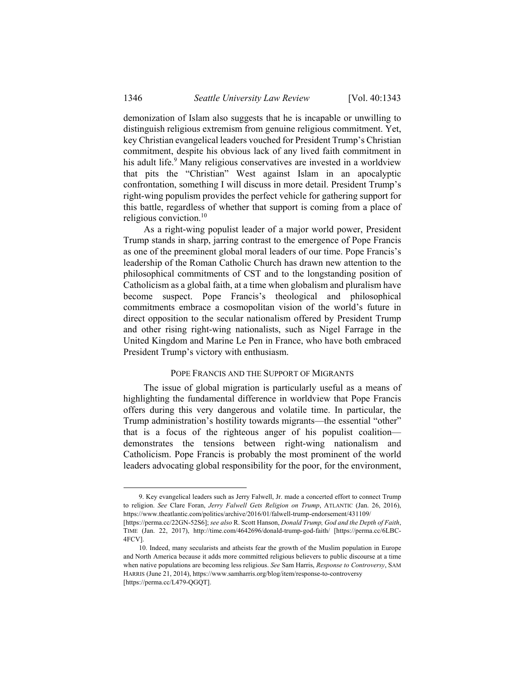demonization of Islam also suggests that he is incapable or unwilling to distinguish religious extremism from genuine religious commitment. Yet, key Christian evangelical leaders vouched for President Trump's Christian commitment, despite his obvious lack of any lived faith commitment in his adult life.<sup>9</sup> Many religious conservatives are invested in a worldview that pits the "Christian" West against Islam in an apocalyptic confrontation, something I will discuss in more detail. President Trump's right-wing populism provides the perfect vehicle for gathering support for this battle, regardless of whether that support is coming from a place of religious conviction.10

As a right-wing populist leader of a major world power, President Trump stands in sharp, jarring contrast to the emergence of Pope Francis as one of the preeminent global moral leaders of our time. Pope Francis's leadership of the Roman Catholic Church has drawn new attention to the philosophical commitments of CST and to the longstanding position of Catholicism as a global faith, at a time when globalism and pluralism have become suspect. Pope Francis's theological and philosophical commitments embrace a cosmopolitan vision of the world's future in direct opposition to the secular nationalism offered by President Trump and other rising right-wing nationalists, such as Nigel Farrage in the United Kingdom and Marine Le Pen in France, who have both embraced President Trump's victory with enthusiasm.

## POPE FRANCIS AND THE SUPPORT OF MIGRANTS

The issue of global migration is particularly useful as a means of highlighting the fundamental difference in worldview that Pope Francis offers during this very dangerous and volatile time. In particular, the Trump administration's hostility towards migrants—the essential "other" that is a focus of the righteous anger of his populist coalition demonstrates the tensions between right-wing nationalism and Catholicism. Pope Francis is probably the most prominent of the world leaders advocating global responsibility for the poor, for the environment,

 <sup>9.</sup> Key evangelical leaders such as Jerry Falwell, Jr. made a concerted effort to connect Trump to religion. *See* Clare Foran, *Jerry Falwell Gets Religion on Trump*, ATLANTIC (Jan. 26, 2016), https://www.theatlantic.com/politics/archive/2016/01/falwell-trump-endorsement/431109/ [https://perma.cc/22GN-52S6]; *see also* R. Scott Hanson, *Donald Trump, God and the Depth of Faith*,

TIME (Jan. 22, 2017), http://time.com/4642696/donald-trump-god-faith/ [https://perma.cc/6LBC-4FCV].

 <sup>10.</sup> Indeed, many secularists and atheists fear the growth of the Muslim population in Europe and North America because it adds more committed religious believers to public discourse at a time when native populations are becoming less religious. *See* Sam Harris, *Response to Controversy*, SAM HARRIS (June 21, 2014), https://www.samharris.org/blog/item/response-to-controversy [https://perma.cc/L479-OGOT].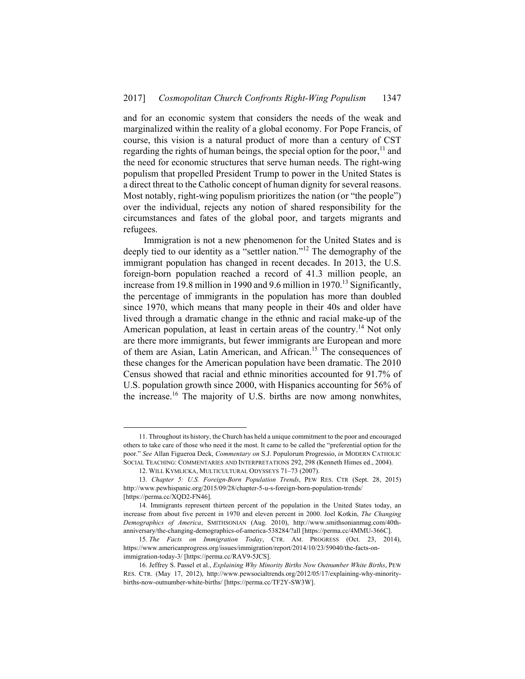and for an economic system that considers the needs of the weak and marginalized within the reality of a global economy. For Pope Francis, of course, this vision is a natural product of more than a century of CST regarding the rights of human beings, the special option for the poor, $11$  and the need for economic structures that serve human needs. The right-wing populism that propelled President Trump to power in the United States is a direct threat to the Catholic concept of human dignity for several reasons. Most notably, right-wing populism prioritizes the nation (or "the people") over the individual, rejects any notion of shared responsibility for the circumstances and fates of the global poor, and targets migrants and refugees.

Immigration is not a new phenomenon for the United States and is deeply tied to our identity as a "settler nation."12 The demography of the immigrant population has changed in recent decades. In 2013, the U.S. foreign-born population reached a record of 41.3 million people, an increase from 19.8 million in 1990 and 9.6 million in 1970.<sup>13</sup> Significantly, the percentage of immigrants in the population has more than doubled since 1970, which means that many people in their 40s and older have lived through a dramatic change in the ethnic and racial make-up of the American population, at least in certain areas of the country.<sup>14</sup> Not only are there more immigrants, but fewer immigrants are European and more of them are Asian, Latin American, and African.15 The consequences of these changes for the American population have been dramatic. The 2010 Census showed that racial and ethnic minorities accounted for 91.7% of U.S. population growth since 2000, with Hispanics accounting for 56% of the increase.<sup>16</sup> The majority of U.S. births are now among nonwhites,

 <sup>11.</sup> Throughout its history, the Church has held a unique commitment to the poor and encouraged others to take care of those who need it the most. It came to be called the "preferential option for the poor." *See* Allan Figueroa Deck, *Commentary on* S.J. Populorum Progressio, *in* MODERN CATHOLIC SOCIAL TEACHING: COMMENTARIES AND INTERPRETATIONS 292, 298 (Kenneth Himes ed., 2004).

 <sup>12.</sup> WILL KYMLICKA, MULTICULTURAL ODYSSEYS 71–73 (2007).

<sup>13</sup>*. Chapter 5: U.S. Foreign-Born Population Trends*, PEW RES. CTR (Sept. 28, 2015) http://www.pewhispanic.org/2015/09/28/chapter-5-u-s-foreign-born-population-trends/ [https://perma.cc/XQD2-FN46].

 <sup>14.</sup> Immigrants represent thirteen percent of the population in the United States today, an increase from about five percent in 1970 and eleven percent in 2000. Joel Kotkin, *The Changing Demographics of America*, SMITHSONIAN (Aug. 2010), http://www.smithsonianmag.com/40thanniversary/the-changing-demographics-of-america-538284/?all [https://perma.cc/4MMU-366C].

<sup>15</sup>*. The Facts on Immigration Today*, CTR. AM. PROGRESS (Oct. 23, 2014), https://www.americanprogress.org/issues/immigration/report/2014/10/23/59040/the-facts-onimmigration-today-3/ [https://perma.cc/RAV9-5JCS].

 <sup>16.</sup> Jeffrey S. Passel et al., *Explaining Why Minority Births Now Outnumber White Births*, PEW RES. CTR. (May 17, 2012), http://www.pewsocialtrends.org/2012/05/17/explaining-why-minoritybirths-now-outnumber-white-births/ [https://perma.cc/TF2Y-SW3W].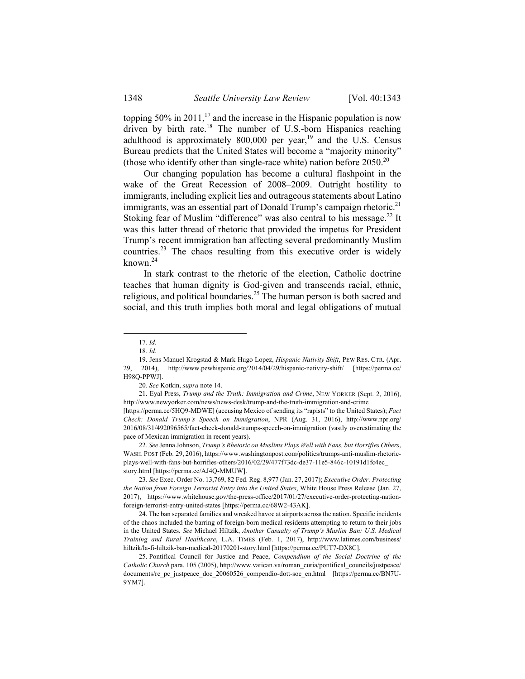topping  $50\%$  in  $2011$ ,<sup>17</sup> and the increase in the Hispanic population is now driven by birth rate.<sup>18</sup> The number of U.S.-born Hispanics reaching adulthood is approximately 800,000 per year,<sup>19</sup> and the U.S. Census Bureau predicts that the United States will become a "majority minority" (those who identify other than single-race white) nation before  $2050^{20}$ 

Our changing population has become a cultural flashpoint in the wake of the Great Recession of 2008–2009. Outright hostility to immigrants, including explicit lies and outrageous statements about Latino immigrants, was an essential part of Donald Trump's campaign rhetoric.<sup>21</sup> Stoking fear of Muslim "difference" was also central to his message.<sup>22</sup> It was this latter thread of rhetoric that provided the impetus for President Trump's recent immigration ban affecting several predominantly Muslim countries.<sup>23</sup> The chaos resulting from this executive order is widely known $^{24}$ 

In stark contrast to the rhetoric of the election, Catholic doctrine teaches that human dignity is God-given and transcends racial, ethnic, religious, and political boundaries.<sup>25</sup> The human person is both sacred and social, and this truth implies both moral and legal obligations of mutual

20*. See* Kotkin, *supra* note 14.

22*. See* Jenna Johnson, *Trump's Rhetoric on Muslims Plays Well with Fans, but Horrifies Others*, WASH. POST (Feb. 29, 2016), https://www.washingtonpost.com/politics/trumps-anti-muslim-rhetoricplays-well-with-fans-but-horrifies-others/2016/02/29/477f73dc-de37-11e5-846c-10191d1fc4ec\_ story.html [https://perma.cc/AJ4Q-MMUW].

23*. See* Exec. Order No. 13,769, 82 Fed. Reg. 8,977 (Jan. 27, 2017); *Executive Order: Protecting the Nation from Foreign Terrorist Entry into the United States*, White House Press Release (Jan. 27, 2017), https://www.whitehouse.gov/the-press-office/2017/01/27/executive-order-protecting-nationforeign-terrorist-entry-united-states [https://perma.cc/68W2-43AK].

 24. The ban separated families and wreaked havoc at airports across the nation. Specific incidents of the chaos included the barring of foreign-born medical residents attempting to return to their jobs in the United States. *See* Michael Hiltzik, *Another Casualty of Trump's Muslim Ban: U.S. Medical Training and Rural Healthcare*, L.A. TIMES (Feb. 1, 2017), http://www.latimes.com/business/ hiltzik/la-fi-hiltzik-ban-medical-20170201-story.html [https://perma.cc/PUT7-DX8C].

 25. Pontifical Council for Justice and Peace, *Compendium of the Social Doctrine of the Catholic Church* para. 105 (2005), http://www.vatican.va/roman\_curia/pontifical\_councils/justpeace/ documents/rc\_pc\_justpeace\_doc\_20060526\_compendio-dott-soc\_en.html [https://perma.cc/BN7U-9YM7].

 <sup>17</sup>*. Id.*

<sup>18</sup>*. Id.*

 <sup>19.</sup> Jens Manuel Krogstad & Mark Hugo Lopez, *Hispanic Nativity Shift*, PEW RES. CTR. (Apr. 29, 2014), http://www.pewhispanic.org/2014/04/29/hispanic-nativity-shift/ [https://perma.cc/ H98Q-PPWJ].

 <sup>21.</sup> Eyal Press, *Trump and the Truth: Immigration and Crime*, NEW YORKER (Sept. 2, 2016), http://www.newyorker.com/news/news-desk/trump-and-the-truth-immigration-and-crime

<sup>[</sup>https://perma.cc/5HQ9-MDWE] (accusing Mexico of sending its "rapists" to the United States); *Fact Check: Donald Trump's Speech on Immigration*, NPR (Aug. 31, 2016), http://www.npr.org/ 2016/08/31/492096565/fact-check-donald-trumps-speech-on-immigration (vastly overestimating the pace of Mexican immigration in recent years).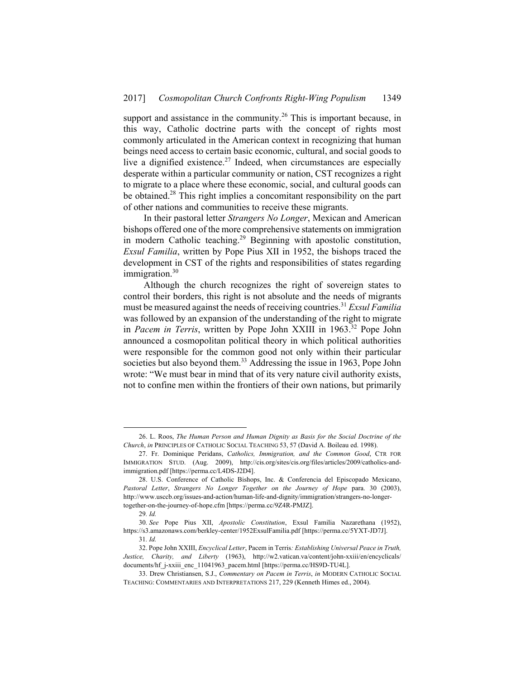support and assistance in the community.<sup>26</sup> This is important because, in this way, Catholic doctrine parts with the concept of rights most commonly articulated in the American context in recognizing that human beings need access to certain basic economic, cultural, and social goods to live a dignified existence.<sup>27</sup> Indeed, when circumstances are especially desperate within a particular community or nation, CST recognizes a right to migrate to a place where these economic, social, and cultural goods can be obtained.28 This right implies a concomitant responsibility on the part of other nations and communities to receive these migrants.

In their pastoral letter *Strangers No Longer*, Mexican and American bishops offered one of the more comprehensive statements on immigration in modern Catholic teaching.<sup>29</sup> Beginning with apostolic constitution, *Exsul Familia*, written by Pope Pius XII in 1952, the bishops traced the development in CST of the rights and responsibilities of states regarding immigration. $30$ 

Although the church recognizes the right of sovereign states to control their borders, this right is not absolute and the needs of migrants must be measured against the needs of receiving countries.<sup>31</sup> *Exsul Familia* was followed by an expansion of the understanding of the right to migrate in *Pacem in Terris*, written by Pope John XXIII in 1963.<sup>32</sup> Pope John announced a cosmopolitan political theory in which political authorities were responsible for the common good not only within their particular societies but also beyond them.<sup>33</sup> Addressing the issue in 1963, Pope John wrote: "We must bear in mind that of its very nature civil authority exists, not to confine men within the frontiers of their own nations, but primarily

 <sup>26.</sup> L. Roos, *The Human Person and Human Dignity as Basis for the Social Doctrine of the Church*, *in* PRINCIPLES OF CATHOLIC SOCIAL TEACHING 53, 57 (David A. Boileau ed. 1998).

 <sup>27.</sup> Fr. Dominique Peridans, *Catholics, Immigration, and the Common Good*, CTR FOR IMMIGRATION STUD. (Aug. 2009), http://cis.org/sites/cis.org/files/articles/2009/catholics-andimmigration.pdf [https://perma.cc/L4DS-J2D4].

 <sup>28.</sup> U.S. Conference of Catholic Bishops, Inc. & Conferencia del Episcopado Mexicano, *Pastoral Letter*, *Strangers No Longer Together on the Journey of Hope* para. 30 (2003), http://www.usccb.org/issues-and-action/human-life-and-dignity/immigration/strangers-no-longertogether-on-the-journey-of-hope.cfm [https://perma.cc/9Z4R-PMJZ].

<sup>29</sup>*. Id.*

<sup>30</sup>*. See* Pope Pius XII, *Apostolic Constitution*, Exsul Familia Nazarethana (1952), https://s3.amazonaws.com/berkley-center/1952ExsulFamilia.pdf [https://perma.cc/5YXT-JD7J].

<sup>31</sup>*. Id.*

 <sup>32.</sup> Pope John XXIII, *Encyclical Letter*, Pacem in Terris*: Establishing Universal Peace in Truth, Justice, Charity, and Liberty* (1963), http://w2.vatican.va/content/john-xxiii/en/encyclicals/ documents/hf\_j-xxiii\_enc\_11041963\_pacem.html [https://perma.cc/HS9D-TU4L].

 <sup>33.</sup> Drew Christiansen, S.J., *Commentary on Pacem in Terris*, *in* MODERN CATHOLIC SOCIAL TEACHING: COMMENTARIES AND INTERPRETATIONS 217, 229 (Kenneth Himes ed., 2004).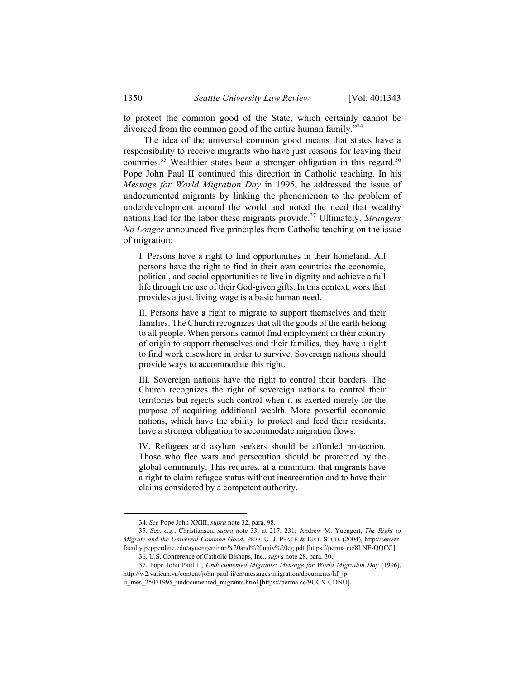to protect the common good of the State, which certainly cannot be divorced from the common good of the entire human family."<sup>34</sup>

The idea of the universal common good means that states have a responsibility to receive migrants who have just reasons for leaving their countries.<sup>35</sup> Wealthier states bear a stronger obligation in this regard.<sup>36</sup> Pope John Paul II continued this direction in Catholic teaching. In his *Message for World Migration Day* in 1995, he addressed the issue of undocumented migrants by linking the phenomenon to the problem of underdevelopment around the world and noted the need that wealthy nations had for the labor these migrants provide.37 Ultimately, *Strangers No Longer* announced five principles from Catholic teaching on the issue of migration:

I. Persons have a right to find opportunities in their homeland. All persons have the right to find in their own countries the economic, political, and social opportunities to live in dignity and achieve a full life through the use of their God-given gifts. In this context, work that provides a just, living wage is a basic human need.

II. Persons have a right to migrate to support themselves and their families. The Church recognizes that all the goods of the earth belong to all people. When persons cannot find employment in their country of origin to support themselves and their families, they have a right to find work elsewhere in order to survive. Sovereign nations should provide ways to accommodate this right.

III. Sovereign nations have the right to control their borders. The Church recognizes the right of sovereign nations to control their territories but rejects such control when it is exerted merely for the purpose of acquiring additional wealth. More powerful economic nations, which have the ability to protect and feed their residents, have a stronger obligation to accommodate migration flows.

IV. Refugees and asylum seekers should be afforded protection. Those who flee wars and persecution should be protected by the global community. This requires, at a minimum, that migrants have a right to claim refugee status without incarceration and to have their claims considered by a competent authority.

 <sup>34</sup>*. See* Pope John XXIII, *supra* note 32, para. 98.

<sup>35</sup>*. See, e.g.*, Christiansen, *supra* note 33, at 217, 231; Andrew M. Yuengert, *The Right to Migrate and the Universal Common Good*, PEPP. U. J. PEACE & JUST. STUD. (2004), http://seaverfaculty.pepperdine.edu/ayuenger/imm%20and%20univ%20cg.pdf [https://perma.cc/8LNE-QQCC].

 <sup>36.</sup> U.S. Conference of Catholic Bishops, Inc., *supra* note 28, para. 30.

 <sup>37.</sup> Pope John Paul II, *Undocumented Migrants: Message for World Migration Day* (1996), http://w2.vatican.va/content/john-paul-ii/en/messages/migration/documents/hf\_jp-

ii mes 25071995 undocumented migrants.html [https://perma.cc/9UCX-CDNU].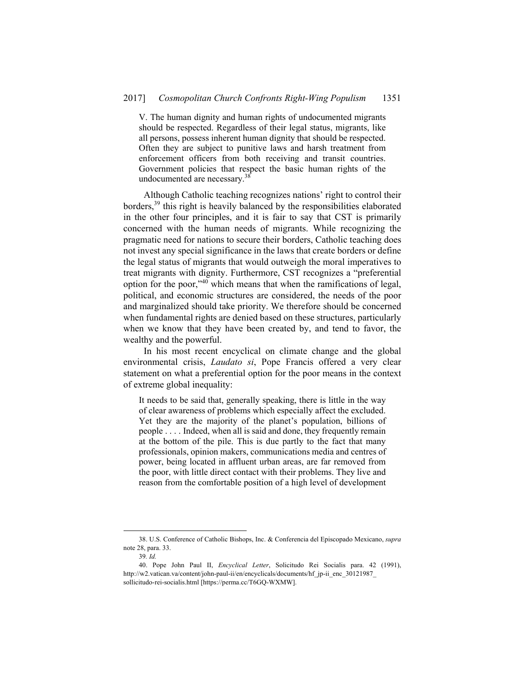V. The human dignity and human rights of undocumented migrants should be respected. Regardless of their legal status, migrants, like all persons, possess inherent human dignity that should be respected. Often they are subject to punitive laws and harsh treatment from enforcement officers from both receiving and transit countries. Government policies that respect the basic human rights of the undocumented are necessary.<sup>38</sup>

Although Catholic teaching recognizes nations' right to control their borders,39 this right is heavily balanced by the responsibilities elaborated in the other four principles, and it is fair to say that CST is primarily concerned with the human needs of migrants. While recognizing the pragmatic need for nations to secure their borders, Catholic teaching does not invest any special significance in the laws that create borders or define the legal status of migrants that would outweigh the moral imperatives to treat migrants with dignity. Furthermore, CST recognizes a "preferential option for the poor,"40 which means that when the ramifications of legal, political, and economic structures are considered, the needs of the poor and marginalized should take priority. We therefore should be concerned when fundamental rights are denied based on these structures, particularly when we know that they have been created by, and tend to favor, the wealthy and the powerful.

In his most recent encyclical on climate change and the global environmental crisis, *Laudato si*, Pope Francis offered a very clear statement on what a preferential option for the poor means in the context of extreme global inequality:

It needs to be said that, generally speaking, there is little in the way of clear awareness of problems which especially affect the excluded. Yet they are the majority of the planet's population, billions of people . . . . Indeed, when all is said and done, they frequently remain at the bottom of the pile. This is due partly to the fact that many professionals, opinion makers, communications media and centres of power, being located in affluent urban areas, are far removed from the poor, with little direct contact with their problems. They live and reason from the comfortable position of a high level of development

 <sup>38.</sup> U.S. Conference of Catholic Bishops, Inc. & Conferencia del Episcopado Mexicano, *supra* note 28, para. 33.

<sup>39</sup>*. Id.*

 <sup>40.</sup> Pope John Paul II, *Encyclical Letter*, Solicitudo Rei Socialis para. 42 (1991), http://w2.vatican.va/content/john-paul-ii/en/encyclicals/documents/hf\_jp-ii\_enc\_30121987\_ sollicitudo-rei-socialis.html [https://perma.cc/T6GQ-WXMW].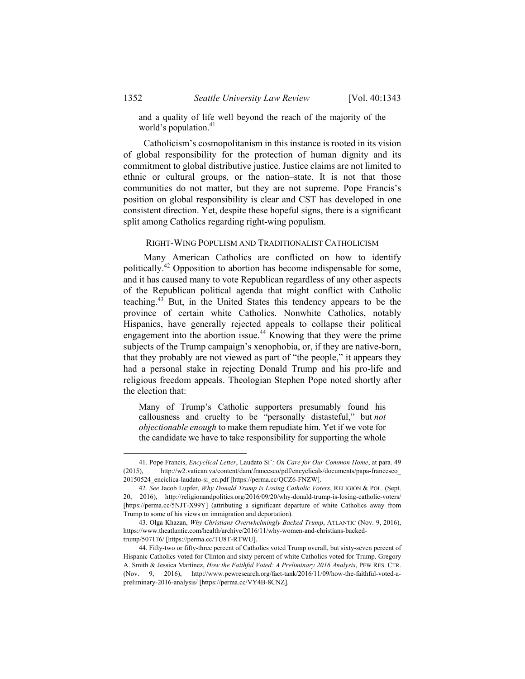and a quality of life well beyond the reach of the majority of the world's population.<sup>41</sup>

Catholicism's cosmopolitanism in this instance is rooted in its vision of global responsibility for the protection of human dignity and its commitment to global distributive justice. Justice claims are not limited to ethnic or cultural groups, or the nation–state. It is not that those communities do not matter, but they are not supreme. Pope Francis's position on global responsibility is clear and CST has developed in one consistent direction. Yet, despite these hopeful signs, there is a significant split among Catholics regarding right-wing populism.

## RIGHT-WING POPULISM AND TRADITIONALIST CATHOLICISM

Many American Catholics are conflicted on how to identify politically.42 Opposition to abortion has become indispensable for some, and it has caused many to vote Republican regardless of any other aspects of the Republican political agenda that might conflict with Catholic teaching.43 But, in the United States this tendency appears to be the province of certain white Catholics. Nonwhite Catholics, notably Hispanics, have generally rejected appeals to collapse their political engagement into the abortion issue.<sup>44</sup> Knowing that they were the prime subjects of the Trump campaign's xenophobia, or, if they are native-born, that they probably are not viewed as part of "the people," it appears they had a personal stake in rejecting Donald Trump and his pro-life and religious freedom appeals. Theologian Stephen Pope noted shortly after the election that:

Many of Trump's Catholic supporters presumably found his callousness and cruelty to be "personally distasteful," but *not objectionable enough* to make them repudiate him. Yet if we vote for the candidate we have to take responsibility for supporting the whole

 <sup>41.</sup> Pope Francis, *Encyclical Letter*, Laudato Si'*: On Care for Our Common Home*, at para. 49 (2015), http://w2.vatican.va/content/dam/francesco/pdf/encyclicals/documents/papa-francesco\_ 20150524\_enciclica-laudato-si\_en.pdf [https://perma.cc/QCZ6-FNZW].

<sup>42</sup>*. See* Jacob Lupfer, *Why Donald Trump is Losing Catholic Voters*, RELIGION & POL. (Sept. 20, 2016), http://religionandpolitics.org/2016/09/20/why-donald-trump-is-losing-catholic-voters/ [https://perma.cc/5NJT-X99Y] (attributing a significant departure of white Catholics away from Trump to some of his views on immigration and deportation).

 <sup>43.</sup> Olga Khazan, *Why Christians Overwhelmingly Backed Trump*, ATLANTIC (Nov. 9, 2016), https://www.theatlantic.com/health/archive/2016/11/why-women-and-christians-backedtrump/507176/ [https://perma.cc/TU8T-RTWU].

 <sup>44.</sup> Fifty-two or fifty-three percent of Catholics voted Trump overall, but sixty-seven percent of Hispanic Catholics voted for Clinton and sixty percent of white Catholics voted for Trump. Gregory A. Smith & Jessica Martínez, *How the Faithful Voted: A Preliminary 2016 Analysis*, PEW RES. CTR. (Nov. 9, 2016), http://www.pewresearch.org/fact-tank/2016/11/09/how-the-faithful-voted-apreliminary-2016-analysis/ [https://perma.cc/VY4B-8CNZ].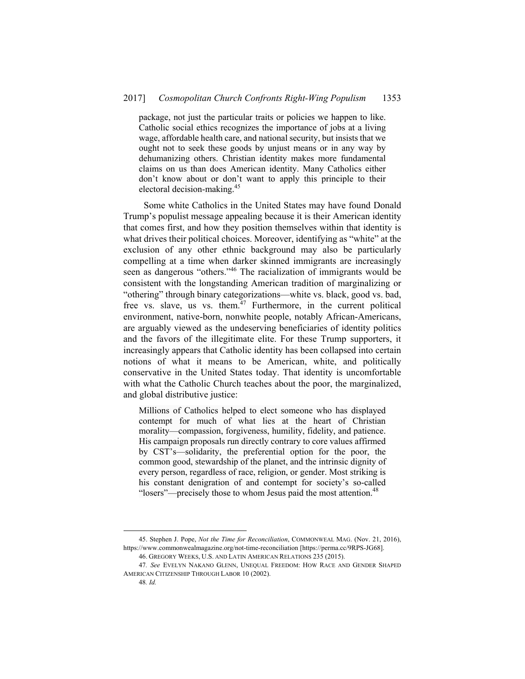package, not just the particular traits or policies we happen to like. Catholic social ethics recognizes the importance of jobs at a living wage, affordable health care, and national security, but insists that we ought not to seek these goods by unjust means or in any way by dehumanizing others. Christian identity makes more fundamental claims on us than does American identity. Many Catholics either don't know about or don't want to apply this principle to their electoral decision-making.45

Some white Catholics in the United States may have found Donald Trump's populist message appealing because it is their American identity that comes first, and how they position themselves within that identity is what drives their political choices. Moreover, identifying as "white" at the exclusion of any other ethnic background may also be particularly compelling at a time when darker skinned immigrants are increasingly seen as dangerous "others."<sup>46</sup> The racialization of immigrants would be consistent with the longstanding American tradition of marginalizing or "othering" through binary categorizations—white vs. black, good vs. bad, free vs. slave, us vs. them. $47$  Furthermore, in the current political environment, native-born, nonwhite people, notably African-Americans, are arguably viewed as the undeserving beneficiaries of identity politics and the favors of the illegitimate elite. For these Trump supporters, it increasingly appears that Catholic identity has been collapsed into certain notions of what it means to be American, white, and politically conservative in the United States today. That identity is uncomfortable with what the Catholic Church teaches about the poor, the marginalized, and global distributive justice:

Millions of Catholics helped to elect someone who has displayed contempt for much of what lies at the heart of Christian morality—compassion, forgiveness, humility, fidelity, and patience. His campaign proposals run directly contrary to core values affirmed by CST's—solidarity, the preferential option for the poor, the common good, stewardship of the planet, and the intrinsic dignity of every person, regardless of race, religion, or gender. Most striking is his constant denigration of and contempt for society's so-called "losers"—precisely those to whom Jesus paid the most attention.<sup>48</sup>

 <sup>45.</sup> Stephen J. Pope, *Not the Time for Reconciliation*, COMMONWEAL MAG. (Nov. 21, 2016), https://www.commonwealmagazine.org/not-time-reconciliation [https://perma.cc/9RPS-JG68].

 <sup>46.</sup> GREGORY WEEKS, U.S. AND LATIN AMERICAN RELATIONS 235 (2015).

<sup>47</sup>*. See* EVELYN NAKANO GLENN, UNEQUAL FREEDOM: HOW RACE AND GENDER SHAPED AMERICAN CITIZENSHIP THROUGH LABOR 10 (2002).

<sup>48</sup>*. Id.*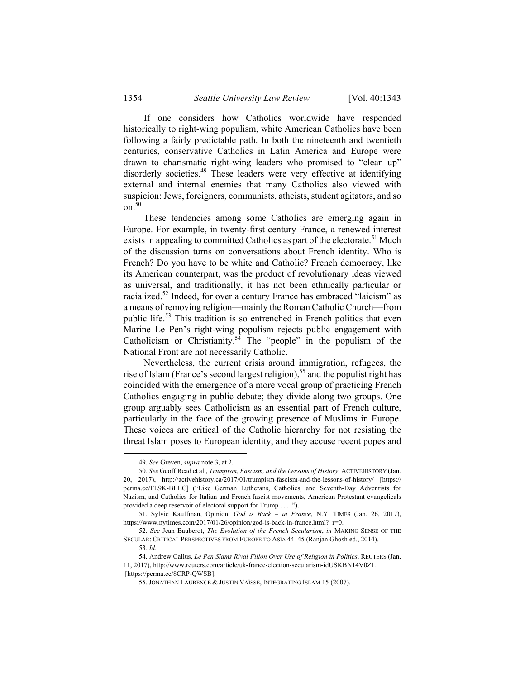If one considers how Catholics worldwide have responded historically to right-wing populism, white American Catholics have been following a fairly predictable path. In both the nineteenth and twentieth centuries, conservative Catholics in Latin America and Europe were drawn to charismatic right-wing leaders who promised to "clean up" disorderly societies.<sup>49</sup> These leaders were very effective at identifying external and internal enemies that many Catholics also viewed with suspicion: Jews, foreigners, communists, atheists, student agitators, and so on. $50$ 

These tendencies among some Catholics are emerging again in Europe. For example, in twenty-first century France, a renewed interest exists in appealing to committed Catholics as part of the electorate.<sup>51</sup> Much of the discussion turns on conversations about French identity. Who is French? Do you have to be white and Catholic? French democracy, like its American counterpart, was the product of revolutionary ideas viewed as universal, and traditionally, it has not been ethnically particular or racialized.52 Indeed, for over a century France has embraced "laicism" as a means of removing religion—mainly the Roman Catholic Church—from public life.53 This tradition is so entrenched in French politics that even Marine Le Pen's right-wing populism rejects public engagement with Catholicism or Christianity.54 The "people" in the populism of the National Front are not necessarily Catholic.

Nevertheless, the current crisis around immigration, refugees, the rise of Islam (France's second largest religion),<sup>55</sup> and the populist right has coincided with the emergence of a more vocal group of practicing French Catholics engaging in public debate; they divide along two groups. One group arguably sees Catholicism as an essential part of French culture, particularly in the face of the growing presence of Muslims in Europe. These voices are critical of the Catholic hierarchy for not resisting the threat Islam poses to European identity, and they accuse recent popes and

 <sup>49</sup>*. See* Greven, *supra* note 3, at 2.

<sup>50</sup>*. See* Geoff Read et al., *Trumpism, Fascism, and the Lessons of History*, ACTIVEHISTORY (Jan. 20, 2017), http://activehistory.ca/2017/01/trumpism-fascism-and-the-lessons-of-history/ [https:// perma.cc/FL9K-BLLC] ("Like German Lutherans, Catholics, and Seventh-Day Adventists for Nazism, and Catholics for Italian and French fascist movements, American Protestant evangelicals provided a deep reservoir of electoral support for Trump . . . .").

 <sup>51.</sup> Sylvie Kauffman, Opinion, *God is Back – in France*, N.Y. TIMES (Jan. 26, 2017), https://www.nytimes.com/2017/01/26/opinion/god-is-back-in-france.html?\_r=0.

<sup>52</sup>*. See* Jean Bauberot, *The Evolution of the French Secularism*, *in* MAKING SENSE OF THE SECULAR: CRITICAL PERSPECTIVES FROM EUROPE TO ASIA 44–45 (Ranjan Ghosh ed., 2014).

<sup>53</sup>*. Id.*

 <sup>54.</sup> Andrew Callus, *Le Pen Slams Rival Fillon Over Use of Religion in Politics*, REUTERS (Jan. 11, 2017), http://www.reuters.com/article/uk-france-election-secularism-idUSKBN14V0ZL [https://perma.cc/8CRP-QWSB].

 <sup>55.</sup> JONATHAN LAURENCE & JUSTIN VAÏSSE, INTEGRATING ISLAM 15 (2007).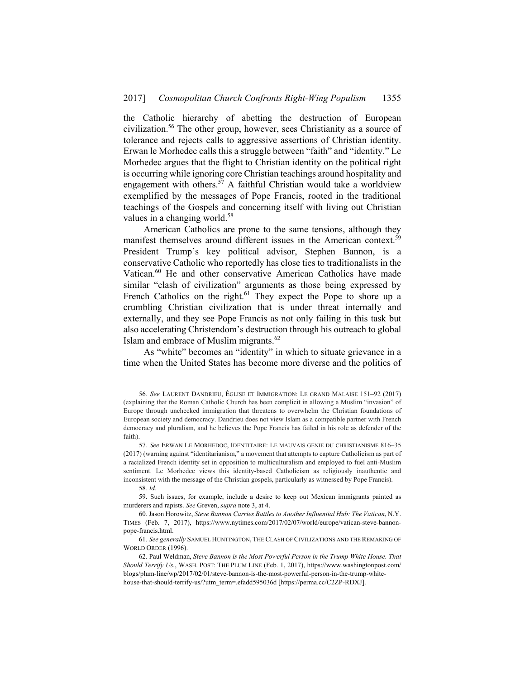the Catholic hierarchy of abetting the destruction of European civilization.56 The other group, however, sees Christianity as a source of tolerance and rejects calls to aggressive assertions of Christian identity. Erwan le Morhedec calls this a struggle between "faith" and "identity." Le Morhedec argues that the flight to Christian identity on the political right is occurring while ignoring core Christian teachings around hospitality and engagement with others.<sup>57</sup> A faithful Christian would take a worldview exemplified by the messages of Pope Francis, rooted in the traditional teachings of the Gospels and concerning itself with living out Christian values in a changing world.<sup>58</sup>

American Catholics are prone to the same tensions, although they manifest themselves around different issues in the American context.<sup>59</sup> President Trump's key political advisor, Stephen Bannon, is a conservative Catholic who reportedly has close ties to traditionalists in the Vatican.<sup>60</sup> He and other conservative American Catholics have made similar "clash of civilization" arguments as those being expressed by French Catholics on the right.<sup>61</sup> They expect the Pope to shore up a crumbling Christian civilization that is under threat internally and externally, and they see Pope Francis as not only failing in this task but also accelerating Christendom's destruction through his outreach to global Islam and embrace of Muslim migrants.<sup>62</sup>

As "white" becomes an "identity" in which to situate grievance in a time when the United States has become more diverse and the politics of

 <sup>56</sup>*. See* LAURENT DANDRIEU, ÉGLISE ET IMMIGRATION: LE GRAND MALAISE 151–92 (2017) (explaining that the Roman Catholic Church has been complicit in allowing a Muslim "invasion" of Europe through unchecked immigration that threatens to overwhelm the Christian foundations of European society and democracy. Dandrieu does not view Islam as a compatible partner with French democracy and pluralism, and he believes the Pope Francis has failed in his role as defender of the faith).

<sup>57</sup>*. See* ERWAN LE MORHEDOC, IDENTITAIRE: LE MAUVAIS GENIE DU CHRISTIANISME 816–35 (2017) (warning against "identitarianism," a movement that attempts to capture Catholicism as part of a racialized French identity set in opposition to multiculturalism and employed to fuel anti-Muslim sentiment. Le Morhedec views this identity-based Catholicism as religiously inauthentic and inconsistent with the message of the Christian gospels, particularly as witnessed by Pope Francis).

<sup>58</sup>*. Id.*

 <sup>59.</sup> Such issues, for example, include a desire to keep out Mexican immigrants painted as murderers and rapists. *See* Greven, *supra* note 3, at 4.

 <sup>60.</sup> Jason Horowitz, *Steve Bannon Carries Battles to Another Influential Hub: The Vatican*, N.Y. TIMES (Feb. 7, 2017), https://www.nytimes.com/2017/02/07/world/europe/vatican-steve-bannonpope-francis.html.

<sup>61</sup>*. See generally* SAMUEL HUNTINGTON, THE CLASH OF CIVILIZATIONS AND THE REMAKING OF WORLD ORDER (1996).

 <sup>62.</sup> Paul Weldman, *Steve Bannon is the Most Powerful Person in the Trump White House. That Should Terrify Us.*, WASH. POST: THE PLUM LINE (Feb. 1, 2017), https://www.washingtonpost.com/ blogs/plum-line/wp/2017/02/01/steve-bannon-is-the-most-powerful-person-in-the-trump-whitehouse-that-should-terrify-us/?utm\_term=.efadd595036d [https://perma.cc/C2ZP-RDXJ].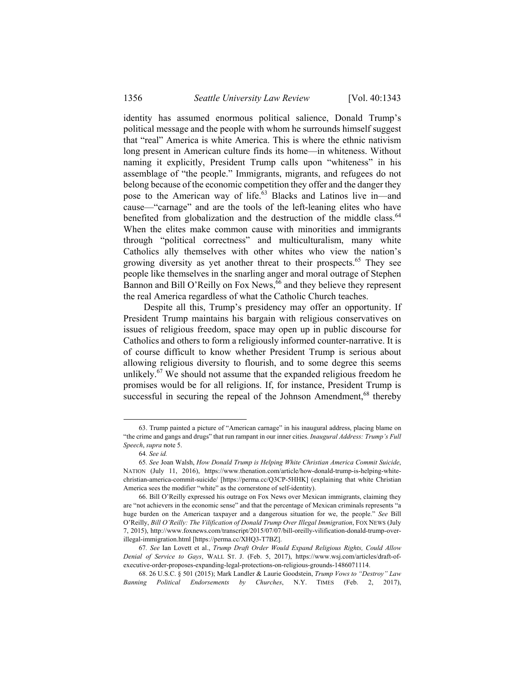identity has assumed enormous political salience, Donald Trump's political message and the people with whom he surrounds himself suggest that "real" America is white America. This is where the ethnic nativism long present in American culture finds its home—in whiteness. Without naming it explicitly, President Trump calls upon "whiteness" in his assemblage of "the people." Immigrants, migrants, and refugees do not belong because of the economic competition they offer and the danger they pose to the American way of life.<sup>63</sup> Blacks and Latinos live in—and cause—"carnage" and are the tools of the left-leaning elites who have benefited from globalization and the destruction of the middle class.<sup>64</sup> When the elites make common cause with minorities and immigrants through "political correctness" and multiculturalism, many white Catholics ally themselves with other whites who view the nation's growing diversity as yet another threat to their prospects.<sup>65</sup> They see people like themselves in the snarling anger and moral outrage of Stephen Bannon and Bill O'Reilly on Fox News,  $\frac{6}{6}$  and they believe they represent the real America regardless of what the Catholic Church teaches.

Despite all this, Trump's presidency may offer an opportunity. If President Trump maintains his bargain with religious conservatives on issues of religious freedom, space may open up in public discourse for Catholics and others to form a religiously informed counter-narrative. It is of course difficult to know whether President Trump is serious about allowing religious diversity to flourish, and to some degree this seems unlikely.<sup>67</sup> We should not assume that the expanded religious freedom he promises would be for all religions. If, for instance, President Trump is successful in securing the repeal of the Johnson Amendment,<sup>68</sup> thereby

 <sup>63.</sup> Trump painted a picture of "American carnage" in his inaugural address, placing blame on "the crime and gangs and drugs" that run rampant in our inner cities. *Inaugural Address: Trump's Full Speech*, *supra* note 5.

<sup>64</sup>*. See id.*

<sup>65</sup>*. See* Joan Walsh, *How Donald Trump is Helping White Christian America Commit Suicide*, NATION (July 11, 2016), https://www.thenation.com/article/how-donald-trump-is-helping-whitechristian-america-commit-suicide/ [https://perma.cc/Q3CP-5HHK] (explaining that white Christian America sees the modifier "white" as the cornerstone of self-identity).

 <sup>66.</sup> Bill O'Reilly expressed his outrage on Fox News over Mexican immigrants, claiming they are "not achievers in the economic sense" and that the percentage of Mexican criminals represents "a huge burden on the American taxpayer and a dangerous situation for we, the people." *See* Bill O'Reilly, *Bill O'Reilly: The Vilification of Donald Trump Over Illegal Immigration*, FOX NEWS (July 7, 2015), http://www.foxnews.com/transcript/2015/07/07/bill-oreilly-vilification-donald-trump-overillegal-immigration.html [https://perma.cc/XHQ3-T7BZ].

<sup>67</sup>*. See* Ian Lovett et al., *Trump Draft Order Would Expand Religious Rights, Could Allow Denial of Service to Gays*, WALL ST. J. (Feb. 5, 2017), https://www.wsj.com/articles/draft-ofexecutive-order-proposes-expanding-legal-protections-on-religious-grounds-1486071114.

 <sup>68. 26</sup> U.S.C. § 501 (2015); Mark Landler & Laurie Goodstein, *Trump Vows to "Destroy" Law Banning Political Endorsements by Churches*, N.Y. TIMES (Feb. 2, 2017),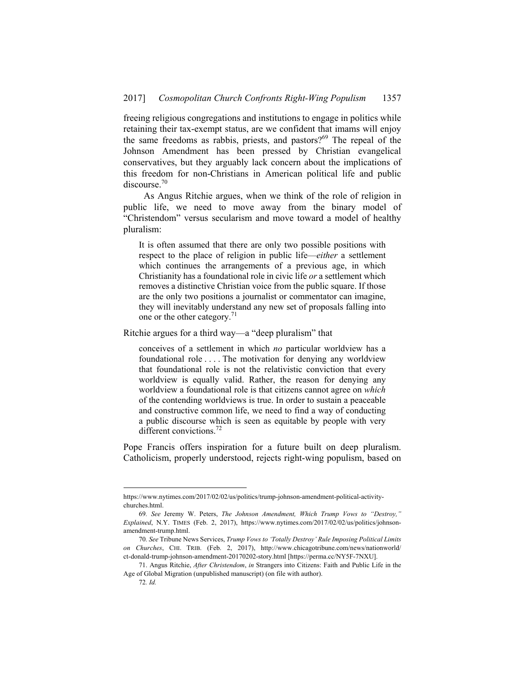freeing religious congregations and institutions to engage in politics while retaining their tax-exempt status, are we confident that imams will enjoy the same freedoms as rabbis, priests, and pastors?<sup>69</sup> The repeal of the Johnson Amendment has been pressed by Christian evangelical conservatives, but they arguably lack concern about the implications of this freedom for non-Christians in American political life and public discourse.<sup>70</sup>

As Angus Ritchie argues, when we think of the role of religion in public life, we need to move away from the binary model of "Christendom" versus secularism and move toward a model of healthy pluralism:

It is often assumed that there are only two possible positions with respect to the place of religion in public life—*either* a settlement which continues the arrangements of a previous age, in which Christianity has a foundational role in civic life *or* a settlement which removes a distinctive Christian voice from the public square. If those are the only two positions a journalist or commentator can imagine, they will inevitably understand any new set of proposals falling into one or the other category.<sup>71</sup>

Ritchie argues for a third way—a "deep pluralism" that

conceives of a settlement in which *no* particular worldview has a foundational role . . . . The motivation for denying any worldview that foundational role is not the relativistic conviction that every worldview is equally valid. Rather, the reason for denying any worldview a foundational role is that citizens cannot agree on *which* of the contending worldviews is true. In order to sustain a peaceable and constructive common life, we need to find a way of conducting a public discourse which is seen as equitable by people with very different convictions.<sup>72</sup>

Pope Francis offers inspiration for a future built on deep pluralism. Catholicism, properly understood, rejects right-wing populism, based on

https://www.nytimes.com/2017/02/02/us/politics/trump-johnson-amendment-political-activitychurches.html.

<sup>69</sup>*. See* Jeremy W. Peters, *The Johnson Amendment, Which Trump Vows to "Destroy," Explained*, N.Y. TIMES (Feb. 2, 2017), https://www.nytimes.com/2017/02/02/us/politics/johnsonamendment-trump.html.

<sup>70</sup>*. See* Tribune News Services, *Trump Vows to 'Totally Destroy' Rule Imposing Political Limits on Churches*, CHI. TRIB. (Feb. 2, 2017), http://www.chicagotribune.com/news/nationworld/ ct-donald-trump-johnson-amendment-20170202-story.html [https://perma.cc/NY5F-7NXU].

 <sup>71.</sup> Angus Ritchie, *After Christendom*, *in* Strangers into Citizens: Faith and Public Life in the Age of Global Migration (unpublished manuscript) (on file with author).

<sup>72</sup>*. Id.*